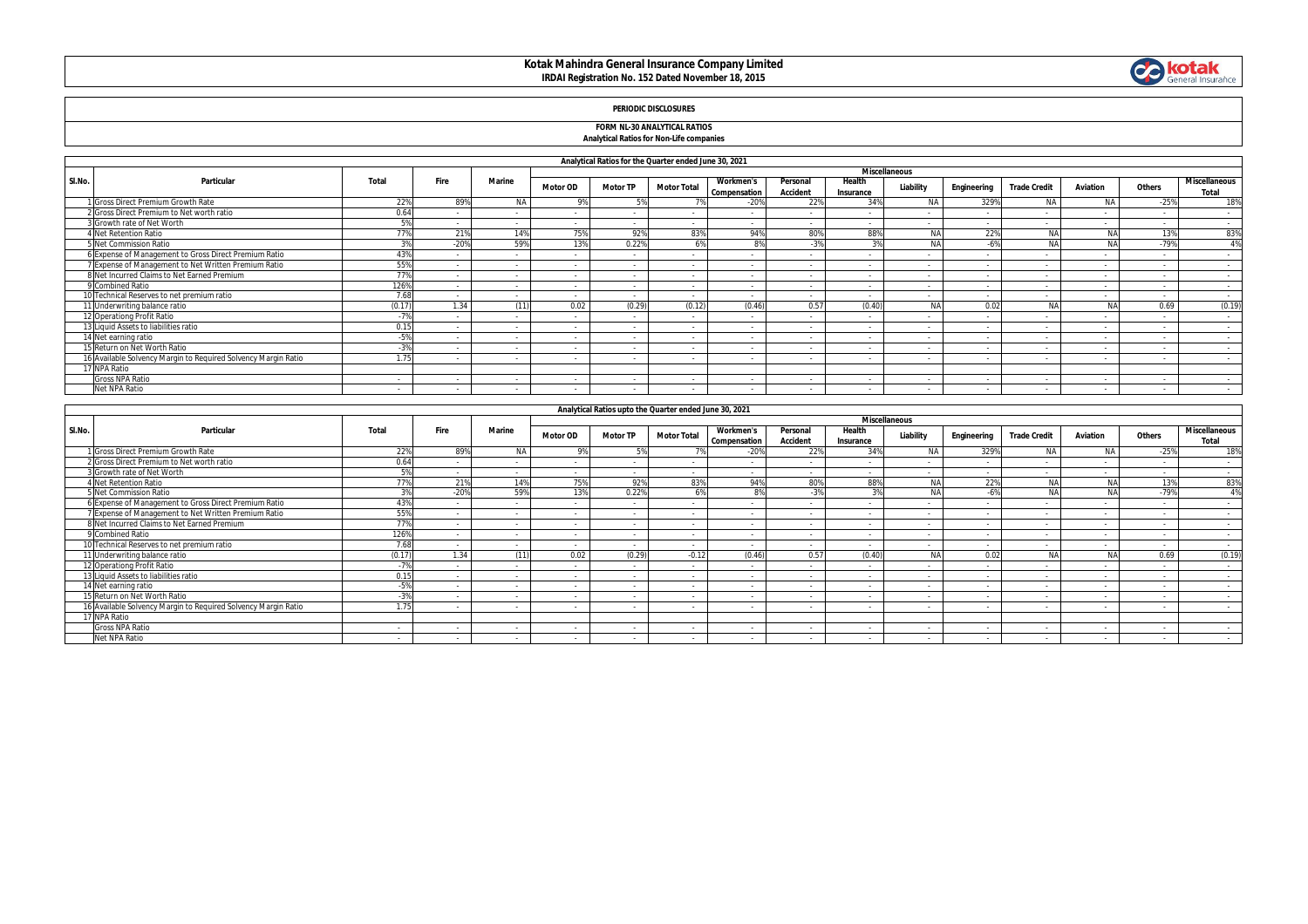### **Kotak Mahindra General Insurance Company Limited IRDAI Registration No. 152 Dated November 18, 2015**



### **PERIODIC DISCLOSURES**

#### **FORM NL-30 ANALYTICAL RATIOS Analytical Ratios for Non-Life companies**

|        | Analytical Ratios for the Quarter ended June 30, 2021          |        |                          |                      |                          |                 |                    |                                  |                             |                     |                          |                          |                          |                          |        |                               |
|--------|----------------------------------------------------------------|--------|--------------------------|----------------------|--------------------------|-----------------|--------------------|----------------------------------|-----------------------------|---------------------|--------------------------|--------------------------|--------------------------|--------------------------|--------|-------------------------------|
|        |                                                                |        |                          | <b>Miscellaneous</b> |                          |                 |                    |                                  |                             |                     |                          |                          |                          |                          |        |                               |
| SI.No. | Particular                                                     | Total  | Fire                     | <b>Marine</b>        | <b>Motor OD</b>          | <b>Motor TP</b> | <b>Motor Total</b> | <b>Workmen's</b><br>Compensation | Personal<br><b>Accident</b> | Health<br>Insurance | Liability                | Engineering              | <b>Trade Credit</b>      | Aviation                 | Others | <b>Miscellaneous</b><br>Total |
|        | 1 Gross Direct Premium Growth Rate                             | 229    | 89%                      | <b>NA</b>            |                          |                 |                    | $-20%$                           | 22%                         | 34%                 | <b>NA</b>                | 329%                     | N/                       | <b>NA</b>                | $-25%$ | 18%                           |
|        | 2 Gross Direct Premium to Net worth ratio                      | 0.64   |                          |                      |                          |                 |                    |                                  |                             |                     |                          |                          | $\overline{\phantom{a}}$ |                          |        | $\sim$                        |
|        | 3 Growth rate of Net Worth                                     | EQ     |                          |                      | $\sim$                   | $\sim$          | $\sim$             |                                  |                             |                     |                          | $\sim$                   | $\overline{a}$           | $\overline{a}$           |        | $\sim$                        |
|        | <b>Net Retention Ratio</b>                                     | 77%    | 21%                      | 14%                  | 75%                      | 92%             | 83%                | 94%                              | 80%                         | 88%                 | NΔ                       | 22%                      | <b>NA</b>                | <b>NA</b>                | 13%    | 83%                           |
|        | 5 Net Commission Ratio                                         |        | $-20%$                   | 59%                  | 13%                      | 0.22%           |                    | 89                               | $-3%$                       |                     |                          |                          | NA                       | NA                       | $-79%$ | 4%                            |
|        | 6 Expense of Management to Gross Direct Premium Ratio          | 439    |                          |                      | $\sim$                   | $\sim$          | . .                |                                  | $\overline{\phantom{a}}$    |                     |                          | $\sim$                   | $\sim$                   |                          |        | $\sim$                        |
|        | 7 Expense of Management to Net Written Premium Ratio           | 55%    | $\sim$                   |                      |                          | $\sim$          | . .                |                                  |                             |                     |                          | <b>.</b>                 | $\sim$                   | $\overline{\phantom{a}}$ |        | $\sim$                        |
|        | 8 Net Incurred Claims to Net Earned Premium                    | 77%    |                          |                      | $\sim$                   | $\sim$          |                    |                                  |                             |                     |                          |                          | $\overline{\phantom{a}}$ | $\sim$                   |        | $\sim$                        |
|        | 9 Combined Ratio                                               | 126%   | $\overline{\phantom{a}}$ |                      | $\sim$                   | $\sim$          |                    |                                  |                             |                     |                          | $\overline{a}$           | $\sim$                   |                          |        | $\sim$                        |
|        | 10 Technical Reserves to net premium ratio                     | 7.68   | $\sim$                   | $\sim$               |                          | $\sim$          | . .                |                                  |                             |                     | $\overline{\phantom{a}}$ | $\sim$                   | $\sim$                   | $\sim$                   |        | $\sim$                        |
|        | 11 Underwriting balance ratio                                  | (0.17) | 1.34                     | (11)                 | 0.02                     | (0.29)          | (0.12)             | (0.46)                           | 0.57                        | (0.40)              |                          | 0.02                     | NA                       | NA                       | 0.69   | (0.19)                        |
|        | 12 Operationg Profit Ratio                                     | 70     |                          |                      |                          | $\sim$          |                    |                                  |                             |                     |                          |                          | $\overline{\phantom{a}}$ |                          |        | $\sim$                        |
|        | 13 Liquid Assets to liabilities ratio                          | 0.15   | $\sim$                   | $\sim$               | $\sim$                   | $\sim$          |                    | $\sim$                           | $\sim$                      | $\sim$              | $\overline{\phantom{a}}$ | $\overline{\phantom{a}}$ | $\sim$                   | $\sim$                   |        | $\sim$                        |
|        | 14 Net earning ratio                                           | -59    |                          |                      | - 1                      | $\sim$          |                    |                                  |                             |                     |                          |                          | $\overline{a}$           |                          |        | $\sim$                        |
|        | 15 Return on Net Worth Ratio                                   | $-3%$  |                          |                      | $\overline{\phantom{a}}$ | $\sim$          |                    |                                  |                             |                     |                          | $\sim$                   | $\overline{\phantom{a}}$ |                          |        | $\sim$                        |
|        | 16 Available Solvency Margin to Required Solvency Margin Ratio | 1.75   |                          |                      |                          | $\sim$          |                    |                                  |                             |                     |                          |                          |                          |                          |        | $\sim$                        |
|        | 17 NPA Ratio                                                   |        |                          |                      |                          |                 |                    |                                  |                             |                     |                          |                          |                          |                          |        |                               |
|        | <b>Gross NPA Ratio</b>                                         | $\sim$ | $\sim$                   | $\sim$               | $\sim$                   | $\sim$          | . .                | $\sim$                           |                             |                     | $\sim$                   | $\sim$                   | $\sim$                   | $\sim$                   | $\sim$ | $\sim$                        |
|        | Net NPA Ratio                                                  |        |                          |                      |                          |                 |                    |                                  |                             |                     |                          |                          |                          |                          |        |                               |

|        | Analytical Ratios upto the Quarter ended June 30, 2021         |        |        |               |                          |                 |                          |                                  |                             |                     |           |             |                     |          |        |                        |
|--------|----------------------------------------------------------------|--------|--------|---------------|--------------------------|-----------------|--------------------------|----------------------------------|-----------------------------|---------------------|-----------|-------------|---------------------|----------|--------|------------------------|
|        | Particular                                                     |        |        |               | <b>Miscellaneous</b>     |                 |                          |                                  |                             |                     |           |             |                     |          |        |                        |
| SI.No. |                                                                | Total  | Fire   | <b>Marine</b> | <b>Motor OD</b>          | <b>Motor TP</b> | <b>Motor Total</b>       | <b>Workmen's</b><br>Compensation | Personal<br><b>Accident</b> | Health<br>Insurance | Liability | Engineering | <b>Trade Credit</b> | Aviation | Others | Miscellaneous<br>Total |
|        | 1 Gross Direct Premium Growth Rate                             | 22%    | 89%    | <b>NA</b>     | 9%                       | .5%             |                          | $-20%$                           | 22%                         | 34%                 | N/        | 329%        | <b>NA</b>           | NA.      | $-25%$ | 18%                    |
|        | 2 Gross Direct Premium to Net worth ratio                      | 0.64   |        |               | $\sim$                   |                 |                          |                                  |                             |                     |           |             |                     |          |        | $\sim$                 |
|        | 3 Growth rate of Net Worth                                     | EQ     | $\sim$ |               | $\sim$                   |                 | $\sim$                   |                                  | $\sim$                      | $\sim$              |           | $\sim$      |                     | $\sim$   |        | $\sim$                 |
|        | <b>Net Retention Ratio</b>                                     | 77%    | 21%    | 14%           | 75%                      | 92%             | 83%                      | 94%                              | 80%                         | 88%                 | NA        | 22%         | NA                  | NA       | 13%    | 83%                    |
|        | 5 Net Commission Ratio                                         | 20/    | $-20%$ | 59%           | 13%                      | 0.22%           | 6%                       | 8%                               | $-3%$                       | 3%                  | NA        | $-6%$       | NA                  | NA       | $-79%$ | 4%                     |
|        | 6 Expense of Management to Gross Direct Premium Ratio          | 43%    | $\sim$ |               | $\sim$                   | $\sim$          | $\sim$                   |                                  | $\sim$                      | $\sim$              |           | $\sim$      | $\sim$              | $\sim$   | $\sim$ | $\sim$                 |
|        | 7 Expense of Management to Net Written Premium Ratio           | 55%    |        |               | $\sim$                   | $\sim$          | $\overline{\phantom{a}}$ |                                  | $\sim$                      |                     |           | $\sim$      | $\sim$              |          |        | $\sim$                 |
|        | 8 Net Incurred Claims to Net Earned Premium                    | 77%    |        |               | $\sim$                   | $\sim$          | $\sim$                   |                                  | $\overline{\phantom{a}}$    |                     |           |             | $\sim$              |          |        | $\sim$                 |
|        | 9 Combined Ratio                                               | 126%   |        |               | $\sim$                   | $\sim$          | $\overline{\phantom{a}}$ |                                  |                             | <b>.</b>            |           |             |                     |          |        | $\sim$                 |
|        | 10 Technical Reserves to net premium ratio                     | 7.68   | $\sim$ |               | $\sim$                   | $\sim$          | $\sim$                   |                                  | $\sim$                      | $\sim$              | $\sim$    | $\sim$      | $\sim$              |          |        | $\sim$                 |
|        | 11 Underwriting balance ratio                                  | (0.17) | 1.34   | (11)          | 0.02                     | (0.29)          | $-0.12$                  | (0.46)                           | 0.57                        | (0.40)              | NA        | 0.02        | NA                  | NA       | 0.69   | (0.19)                 |
|        | 12 Operationg Profit Ratio                                     |        | . .    |               | $\sim$                   | $\sim$          | $\sim$                   |                                  | $\sim$                      |                     |           |             |                     |          |        | $\sim$                 |
|        | 13 Liquid Assets to liabilities ratio                          | 0.15   | . .    |               |                          | $\sim$          | $\overline{\phantom{a}}$ |                                  | $\sim$                      | <b>.</b>            | . .       | $\sim$      |                     |          | $\sim$ | $\sim$                 |
|        | 14 Net earning ratio                                           | $-5%$  |        |               | $\sim$                   |                 | $\overline{\phantom{a}}$ |                                  | $\sim$                      |                     |           |             |                     |          |        | $\sim$                 |
|        | 15 Return on Net Worth Ratio                                   | $-3%$  |        |               | $\overline{\phantom{a}}$ |                 |                          |                                  |                             |                     |           |             |                     |          |        | $\sim$                 |
|        | 16 Available Solvency Margin to Reguired Solvency Margin Ratio | 1.75   | $\sim$ | $\sim$        | $\sim$                   |                 | $\sim$                   | . .                              | $\sim$                      |                     | . .       | $\sim$      |                     |          | $\sim$ | $\sim$                 |
|        | 17 NPA Ratio                                                   |        |        |               |                          |                 |                          |                                  |                             |                     |           |             |                     |          |        |                        |
|        | <b>Gross NPA Ratio</b>                                         | $\sim$ |        |               | $\sim$                   | $\sim$          |                          |                                  | $\sim$                      |                     |           |             |                     |          |        | $\sim$                 |
|        | Net NPA Ratio                                                  |        |        |               |                          |                 |                          |                                  |                             |                     |           |             |                     |          |        |                        |